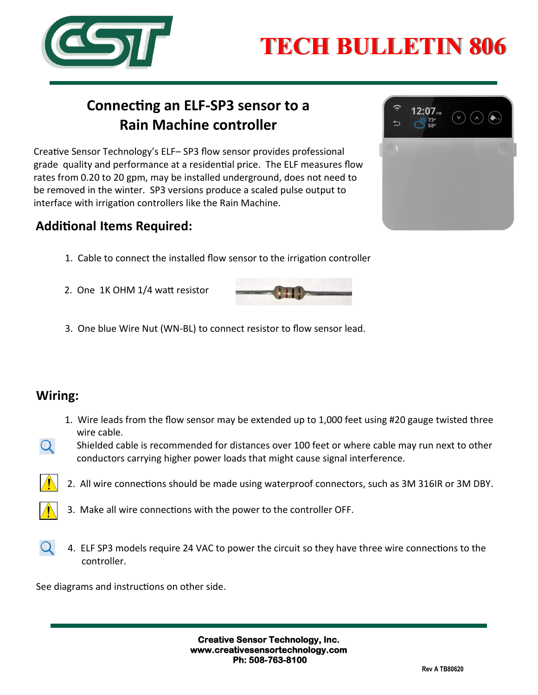# **TECH BULLETIN 806**

## **Connecting an ELF-SP3 sensor to a Rain Machine controller**

Creative Sensor Technology's ELF– SP3 flow sensor provides professional grade quality and performance at a residential price. The ELF measures flow rates from 0.20 to 20 gpm, may be installed underground, does not need to be removed in the winter. SP3 versions produce a scaled pulse output to interface with irrigation controllers like the Rain Machine.

#### **Additional Items Required:**

- 1. Cable to connect the installed flow sensor to the irrigation controller
- 2. One 1K OHM 1/4 watt resistor
- 3. One blue Wire Nut (WN-BL) to connect resistor to flow sensor lead.

#### **Wiring:**

- 1. Wire leads from the flow sensor may be extended up to 1,000 feet using #20 gauge twisted three wire cable.
- $\mathbf Q$  Shielded cable is recommended for distances over 100 feet or where cable may run next to other conductors carrying higher power loads that might cause signal interference.
	- 2. All wire connections should be made using waterproof connectors, such as 3M 316IR or 3M DBY.
		- 3. Make all wire connections with the power to the controller OFF.
	- 4. ELF SP3 models require 24 VAC to power the circuit so they have three wire connections to the controller.

See diagrams and instructions on other side.

**Creative Sensor Technology, Inc. www.creativesensortechnology.com Ph: 508-763-8100**